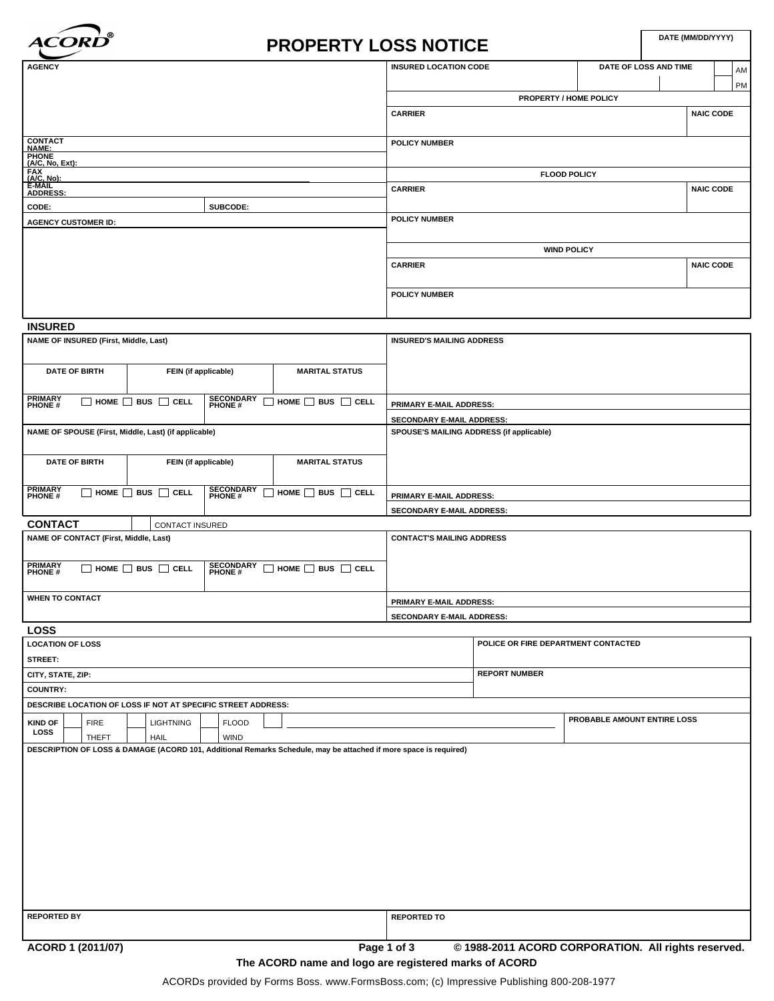

# **DATE (MM/DD/YYYY) PROPERTY LOSS NOTICE**

| <b>AGENCY</b>                                                                              |          | <b>INSURED LOCATION CODE</b> | DATE OF LOSS AND TIME | AM               |  |
|--------------------------------------------------------------------------------------------|----------|------------------------------|-----------------------|------------------|--|
|                                                                                            |          |                              |                       | PM               |  |
|                                                                                            |          | PROPERTY / HOME POLICY       |                       |                  |  |
|                                                                                            |          | <b>CARRIER</b>               |                       | <b>NAIC CODE</b> |  |
|                                                                                            |          |                              |                       |                  |  |
|                                                                                            |          | <b>POLICY NUMBER</b>         |                       |                  |  |
|                                                                                            |          |                              |                       |                  |  |
|                                                                                            |          | <b>FLOOD POLICY</b>          |                       |                  |  |
| <b>CONTACT<br/>NAME:<br/>PHONE<br/>(A/C, No, Ext):<br/>F-A/A/L<br/>E-MAIL<br/>ADDRESS:</b> |          | <b>CARRIER</b>               |                       | <b>NAIC CODE</b> |  |
| CODE:                                                                                      | SUBCODE: |                              |                       |                  |  |
| <b>AGENCY CUSTOMER ID:</b>                                                                 |          | <b>POLICY NUMBER</b>         |                       |                  |  |
|                                                                                            |          |                              |                       |                  |  |
|                                                                                            |          | <b>WIND POLICY</b>           |                       |                  |  |
|                                                                                            |          | <b>CARRIER</b>               |                       | <b>NAIC CODE</b> |  |
|                                                                                            |          |                              |                       |                  |  |
|                                                                                            |          | <b>POLICY NUMBER</b>         |                       |                  |  |
|                                                                                            |          |                              |                       |                  |  |

# **INSURED**

| NAME OF INSURED (First, Middle, Last)                                                                                        |                                       |                            |                                | <b>INSURED'S MAILING ADDRESS</b>         |  |
|------------------------------------------------------------------------------------------------------------------------------|---------------------------------------|----------------------------|--------------------------------|------------------------------------------|--|
| <b>DATE OF BIRTH</b>                                                                                                         | FEIN (if applicable)                  |                            | <b>MARITAL STATUS</b>          |                                          |  |
| <b>PRIMARY</b><br>□<br><b>PHONE#</b>                                                                                         | HOME $\Box$ BUS $\Box$<br><b>CELL</b> | <b>SECONDARY</b><br>PHONE# | BUS $\Box$ CELL<br>HOME $\Box$ | <b>PRIMARY E-MAIL ADDRESS:</b>           |  |
|                                                                                                                              |                                       |                            |                                | <b>SECONDARY E-MAIL ADDRESS:</b>         |  |
| NAME OF SPOUSE (First, Middle, Last) (if applicable)                                                                         |                                       |                            |                                | SPOUSE'S MAILING ADDRESS (if applicable) |  |
|                                                                                                                              |                                       |                            |                                |                                          |  |
| <b>DATE OF BIRTH</b><br>FEIN (if applicable)                                                                                 |                                       | <b>MARITAL STATUS</b>      |                                |                                          |  |
|                                                                                                                              |                                       |                            |                                |                                          |  |
| PRIMARY<br>П<br><b>PHONE#</b>                                                                                                | HOME $\Box$ BUS $\Box$ CELL           | <b>SECONDARY</b><br>PHONE# | HOME $\Box$ BUS $\Box$ CELL    | <b>PRIMARY E-MAIL ADDRESS:</b>           |  |
|                                                                                                                              |                                       |                            |                                | <b>SECONDARY E-MAIL ADDRESS:</b>         |  |
| <b>CONTACT</b><br><b>CONTACT INSURED</b>                                                                                     |                                       |                            |                                |                                          |  |
| NAME OF CONTACT (First, Middle, Last)                                                                                        |                                       |                            |                                | <b>CONTACT'S MAILING ADDRESS</b>         |  |
|                                                                                                                              |                                       |                            |                                |                                          |  |
| PRIMARY<br><b>SECONDARY</b><br>HOME $\Box$ BUS $\Box$ CELL<br>HOME $\Box$<br>BUS $\Box$ CELL<br>П<br><b>PHONE#</b><br>PHONE# |                                       |                            |                                |                                          |  |
|                                                                                                                              |                                       |                            |                                |                                          |  |
| <b>WHEN TO CONTACT</b>                                                                                                       |                                       |                            |                                | PRIMARY E-MAIL ADDRESS:                  |  |
|                                                                                                                              |                                       |                            |                                | <b>SECONDARY E-MAIL ADDRESS:</b>         |  |

| <b>LOSS</b>                                                                                                      |                                     |                             |  |  |  |  |  |
|------------------------------------------------------------------------------------------------------------------|-------------------------------------|-----------------------------|--|--|--|--|--|
| <b>LOCATION OF LOSS</b>                                                                                          | POLICE OR FIRE DEPARTMENT CONTACTED |                             |  |  |  |  |  |
| STREET:                                                                                                          |                                     |                             |  |  |  |  |  |
| CITY, STATE, ZIP:                                                                                                | <b>REPORT NUMBER</b>                |                             |  |  |  |  |  |
| <b>COUNTRY:</b>                                                                                                  |                                     |                             |  |  |  |  |  |
| DESCRIBE LOCATION OF LOSS IF NOT AT SPECIFIC STREET ADDRESS:                                                     |                                     |                             |  |  |  |  |  |
| <b>FIRE</b><br>LIGHTNING<br><b>FLOOD</b><br><b>KIND OF</b>                                                       |                                     | PROBABLE AMOUNT ENTIRE LOSS |  |  |  |  |  |
| <b>LOSS</b><br><b>THEFT</b><br><b>HAIL</b><br><b>WIND</b>                                                        |                                     |                             |  |  |  |  |  |
| DESCRIPTION OF LOSS & DAMAGE (ACORD 101, Additional Remarks Schedule, may be attached if more space is required) |                                     |                             |  |  |  |  |  |
| <b>REPORTED BY</b><br><b>REPORTED TO</b>                                                                         |                                     |                             |  |  |  |  |  |

**ACORD 1 (2011/07) Page 1 of 3 © 1988-2011 ACORD CORPORATION. All rights reserved.**

**The ACORD name and logo are registered marks of ACORD**

ACORDs provided by Forms Boss. www.FormsBoss.com; (c) Impressive Publishing 800-208-1977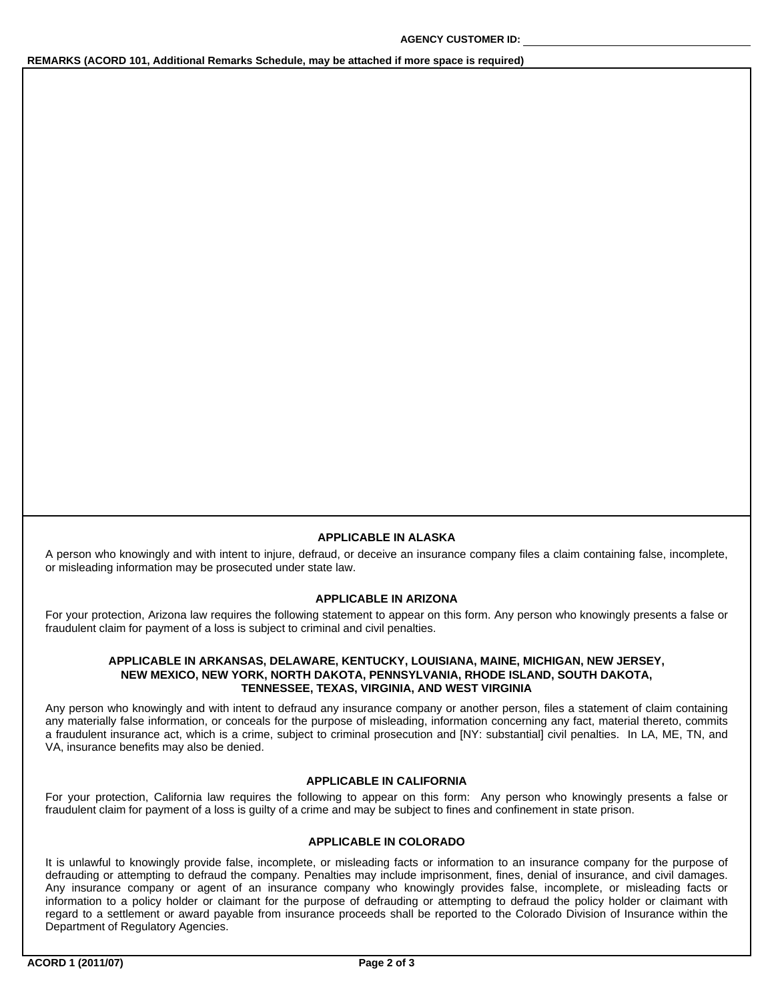# **REMARKS (ACORD 101, Additional Remarks Schedule, may be attached if more space is required)**

#### **APPLICABLE IN ALASKA**

A person who knowingly and with intent to injure, defraud, or deceive an insurance company files a claim containing false, incomplete, or misleading information may be prosecuted under state law.

# **APPLICABLE IN ARIZONA**

For your protection, Arizona law requires the following statement to appear on this form. Any person who knowingly presents a false or fraudulent claim for payment of a loss is subject to criminal and civil penalties.

## **APPLICABLE IN ARKANSAS, DELAWARE, KENTUCKY, LOUISIANA, MAINE, MICHIGAN, NEW JERSEY, NEW MEXICO, NEW YORK, NORTH DAKOTA, PENNSYLVANIA, RHODE ISLAND, SOUTH DAKOTA, TENNESSEE, TEXAS, VIRGINIA, AND WEST VIRGINIA**

Any person who knowingly and with intent to defraud any insurance company or another person, files a statement of claim containing any materially false information, or conceals for the purpose of misleading, information concerning any fact, material thereto, commits a fraudulent insurance act, which is a crime, subject to criminal prosecution and [NY: substantial] civil penalties. In LA, ME, TN, and VA, insurance benefits may also be denied.

### **APPLICABLE IN CALIFORNIA**

For your protection, California law requires the following to appear on this form: Any person who knowingly presents a false or fraudulent claim for payment of a loss is guilty of a crime and may be subject to fines and confinement in state prison.

## **APPLICABLE IN COLORADO**

It is unlawful to knowingly provide false, incomplete, or misleading facts or information to an insurance company for the purpose of defrauding or attempting to defraud the company. Penalties may include imprisonment, fines, denial of insurance, and civil damages. Any insurance company or agent of an insurance company who knowingly provides false, incomplete, or misleading facts or information to a policy holder or claimant for the purpose of defrauding or attempting to defraud the policy holder or claimant with regard to a settlement or award payable from insurance proceeds shall be reported to the Colorado Division of Insurance within the Department of Regulatory Agencies.